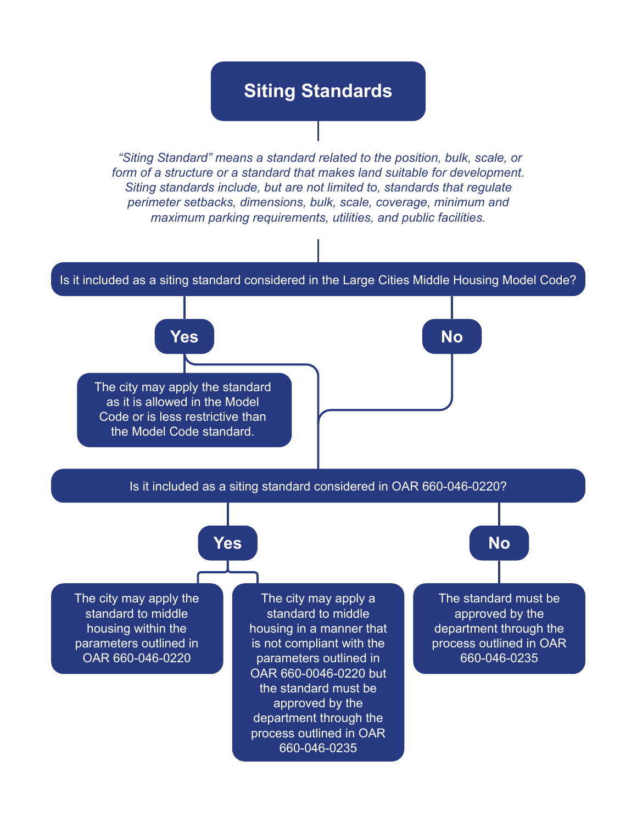## **Siting Standards**

 *"Siting Standard" means a standard related to the position, bulk, scale, or form of a structure or a standard that makes land suitable for development. Siting standards include, but are not limited to, standards that regulate perimeter setbacks, dimensions, bulk, scale, coverage, minimum and maximum parking requirements, utilities, and public facilities.*



**Yes** No

The city may apply the standard as it is allowed in the Model Code or is less restrictive than the Model Code standard.

Is it included as a siting standard considered in OAR 660-046-0220?

## **Yes** No

The city may apply the standard to middle housing within the parameters outlined in OAR 660-046-0220

The city may apply a standard to middle housing in a manner that is not compliant with the parameters outlined in OAR 660-0046-0220 but the standard must be approved by the department through the process outlined in OAR 660-046-0235

The standard must be approved by the department through the process outlined in OAR 660-046-0235